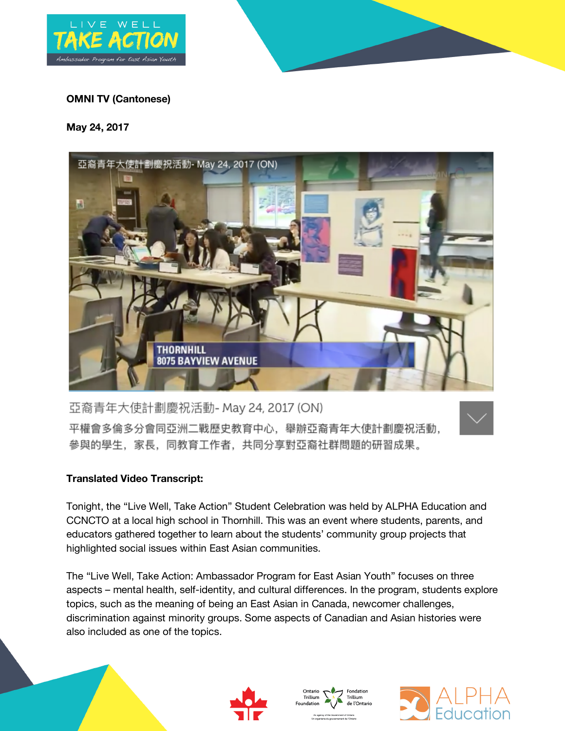



## **OMNI TV (Cantonese)**

## **May 24, 2017**



亞裔青年大使計劃慶祝活動- May 24, 2017 (ON) 平權會多倫多分會同亞洲二戰歷史教育中心,舉辦亞裔青年大使計劃慶祝活動, 參與的學生,家長,同教育工作者,共同分享對亞裔社群問題的研習成果。

## **Translated Video Transcript:**

Tonight, the "Live Well, Take Action" Student Celebration was held by ALPHA Education and CCNCTO at a local high school in Thornhill. This was an event where students, parents, and educators gathered together to learn about the students' community group projects that highlighted social issues within East Asian communities.

The "Live Well, Take Action: Ambassador Program for East Asian Youth" focuses on three aspects – mental health, self-identity, and cultural differences. In the program, students explore topics, such as the meaning of being an East Asian in Canada, newcomer challenges, discrimination against minority groups. Some aspects of Canadian and Asian histories were also included as one of the topics.